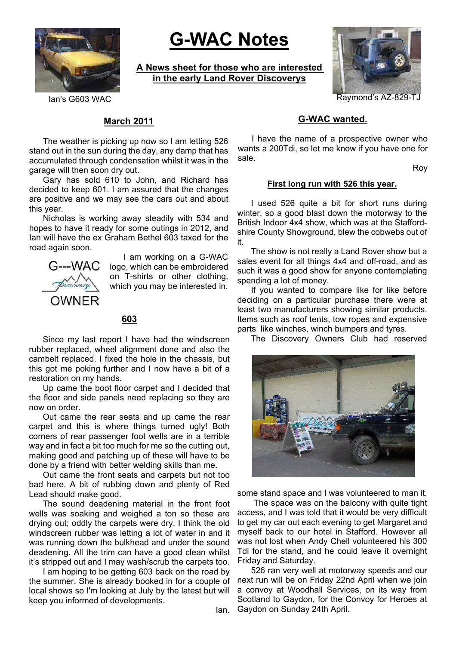

# **G-WAC Notes**

**A News sheet for those who are interested in the early Land Rover Discoverys**



Ian's G603 WAC Raymond's AZ-829-TJ

## **March 2011**

The weather is picking up now so I am letting 526 stand out in the sun during the day, any damp that has accumulated through condensation whilst it was in the garage will then soon dry out.

Gary has sold 610 to John, and Richard has decided to keep 601. I am assured that the changes are positive and we may see the cars out and about this year.

Nicholas is working away steadily with 534 and hopes to have it ready for some outings in 2012, and Ian will have the ex Graham Bethel 603 taxed for the road again soon.



I am working on a G-WAC logo, which can be embroidered on T-shirts or other clothing, which you may be interested in.

#### **603**

Since my last report I have had the windscreen rubber replaced, wheel alignment done and also the cambelt replaced. I fixed the hole in the chassis, but this got me poking further and I now have a bit of a restoration on my hands.

Up came the boot floor carpet and I decided that the floor and side panels need replacing so they are now on order.

Out came the rear seats and up came the rear carpet and this is where things turned ugly! Both corners of rear passenger foot wells are in a terrible way and in fact a bit too much for me so the cutting out, making good and patching up of these will have to be done by a friend with better welding skills than me.

Out came the front seats and carpets but not too bad here. A bit of rubbing down and plenty of Red Lead should make good.

The sound deadening material in the front foot wells was soaking and weighed a ton so these are drying out; oddly the carpets were dry. I think the old windscreen rubber was letting a lot of water in and it was running down the bulkhead and under the sound deadening. All the trim can have a good clean whilst it's stripped out and I may wash/scrub the carpets too.

I am hoping to be getting 603 back on the road by the summer. She is already booked in for a couple of local shows so I'm looking at July by the latest but will keep you informed of developments.

Ian.

## **G-WAC wanted.**

I have the name of a prospective owner who wants a 200Tdi, so let me know if you have one for sale.

Roy

#### **First long run with 526 this year.**

I used 526 quite a bit for short runs during winter, so a good blast down the motorway to the British Indoor 4x4 show, which was at the Staffordshire County Showground, blew the cobwebs out of it.

The show is not really a Land Rover show but a sales event for all things 4x4 and off-road, and as such it was a good show for anyone contemplating spending a lot of money.

If you wanted to compare like for like before deciding on a particular purchase there were at least two manufacturers showing similar products. Items such as roof tents, tow ropes and expensive parts like winches, winch bumpers and tyres.

The Discovery Owners Club had reserved



some stand space and I was volunteered to man it.

The space was on the balcony with quite tight access, and I was told that it would be very difficult to get my car out each evening to get Margaret and myself back to our hotel in Stafford. However all was not lost when Andy Chell volunteered his 300 Tdi for the stand, and he could leave it overnight Friday and Saturday.

526 ran very well at motorway speeds and our next run will be on Friday 22nd April when we join a convoy at Woodhall Services, on its way from Scotland to Gaydon, for the Convoy for Heroes at Gaydon on Sunday 24th April.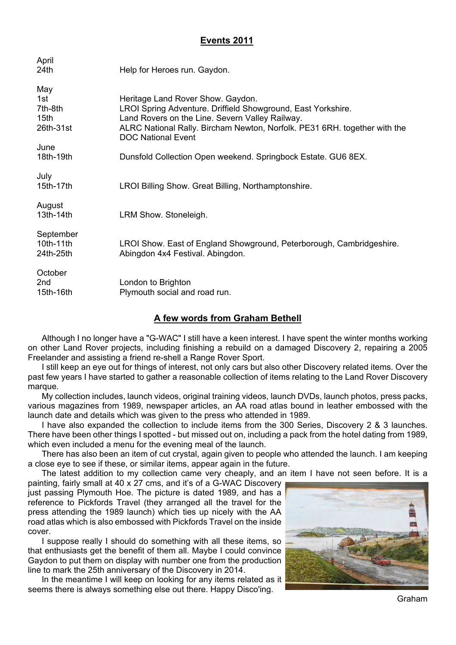# **Events 2011**

| April<br>24th                                          | Help for Heroes run. Gaydon.                                                                                                                                                                                                                                   |
|--------------------------------------------------------|----------------------------------------------------------------------------------------------------------------------------------------------------------------------------------------------------------------------------------------------------------------|
| May<br>1st<br>7th-8th<br>15 <sub>th</sub><br>26th-31st | Heritage Land Rover Show. Gaydon.<br>LROI Spring Adventure. Driffield Showground, East Yorkshire.<br>Land Rovers on the Line. Severn Valley Railway.<br>ALRC National Rally. Bircham Newton, Norfolk. PE31 6RH. together with the<br><b>DOC National Event</b> |
| June<br>18th-19th                                      | Dunsfold Collection Open weekend. Springbock Estate. GU6 8EX.                                                                                                                                                                                                  |
| July<br>15th-17th                                      | LROI Billing Show. Great Billing, Northamptonshire.                                                                                                                                                                                                            |
| August<br>13th-14th                                    | LRM Show. Stoneleigh.                                                                                                                                                                                                                                          |
| September<br>10th-11th<br>24th-25th                    | LROI Show. East of England Showground, Peterborough, Cambridgeshire.<br>Abingdon 4x4 Festival. Abingdon.                                                                                                                                                       |
| October<br>2nd<br>15th-16th                            | London to Brighton<br>Plymouth social and road run.                                                                                                                                                                                                            |

# **A few words from Graham Bethell**

Although I no longer have a "G-WAC" I still have a keen interest. I have spent the winter months working on other Land Rover projects, including finishing a rebuild on a damaged Discovery 2, repairing a 2005 Freelander and assisting a friend re-shell a Range Rover Sport.

I still keep an eye out for things of interest, not only cars but also other Discovery related items. Over the past few years I have started to gather a reasonable collection of items relating to the Land Rover Discovery marque.

My collection includes, launch videos, original training videos, launch DVDs, launch photos, press packs, various magazines from 1989, newspaper articles, an AA road atlas bound in leather embossed with the launch date and details which was given to the press who attended in 1989.

I have also expanded the collection to include items from the 300 Series, Discovery 2 & 3 launches. There have been other things I spotted - but missed out on, including a pack from the hotel dating from 1989, which even included a menu for the evening meal of the launch.

There has also been an item of cut crystal, again given to people who attended the launch. I am keeping a close eye to see if these, or similar items, appear again in the future.

The latest addition to my collection came very cheaply, and an item I have not seen before. It is a

painting, fairly small at 40 x 27 cms, and it's of a G-WAC Discovery just passing Plymouth Hoe. The picture is dated 1989, and has a reference to Pickfords Travel (they arranged all the travel for the press attending the 1989 launch) which ties up nicely with the AA road atlas which is also embossed with Pickfords Travel on the inside cover.

I suppose really I should do something with all these items, so that enthusiasts get the benefit of them all. Maybe I could convince Gaydon to put them on display with number one from the production line to mark the 25th anniversary of the Discovery in 2014.

In the meantime I will keep on looking for any items related as it seems there is always something else out there. Happy Disco'ing.



Graham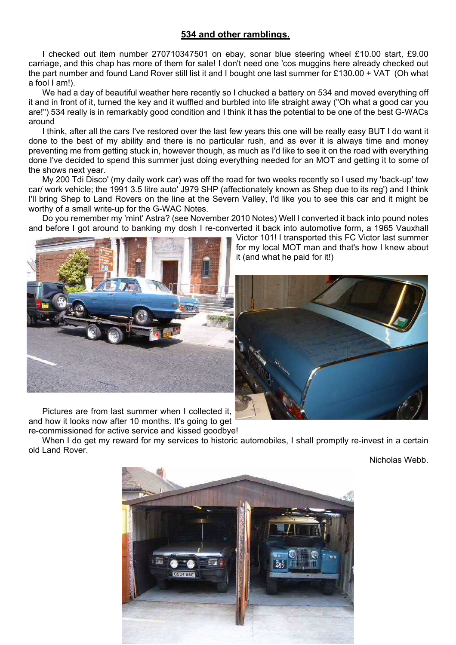# **534 and other ramblings.**

I checked out item number 270710347501 on ebay, sonar blue steering wheel £10.00 start, £9.00 carriage, and this chap has more of them for sale! I don't need one 'cos muggins here already checked out the part number and found Land Rover still list it and I bought one last summer for £130.00 + VAT (Oh what a fool I am!).

We had a day of beautiful weather here recently so I chucked a battery on 534 and moved everything off it and in front of it, turned the key and it wuffled and burbled into life straight away ("Oh what a good car you are!") 534 really is in remarkably good condition and I think it has the potential to be one of the best G-WACs around

I think, after all the cars I've restored over the last few years this one will be really easy BUT I do want it done to the best of my ability and there is no particular rush, and as ever it is always time and money preventing me from getting stuck in, however though, as much as I'd like to see it on the road with everything done I've decided to spend this summer just doing everything needed for an MOT and getting it to some of the shows next year.

My 200 Tdi Disco' (my daily work car) was off the road for two weeks recently so I used my 'back-up' tow car/ work vehicle; the 1991 3.5 litre auto' J979 SHP (affectionately known as Shep due to its reg') and I think I'll bring Shep to Land Rovers on the line at the Severn Valley, I'd like you to see this car and it might be worthy of a small write-up for the G-WAC Notes.

Do you remember my 'mint' Astra? (see November 2010 Notes) Well I converted it back into pound notes and before I got around to banking my dosh I re-converted it back into automotive form, a 1965 Vauxhall



Pictures are from last summer when I collected it, and how it looks now after 10 months. It's going to get re-commissioned for active service and kissed goodbye!

Victor 101! I transported this FC Victor last summer for my local MOT man and that's how I knew about it (and what he paid for it!)



When I do get my reward for my services to historic automobiles, I shall promptly re-invest in a certain old Land Rover.

Nicholas Webb.

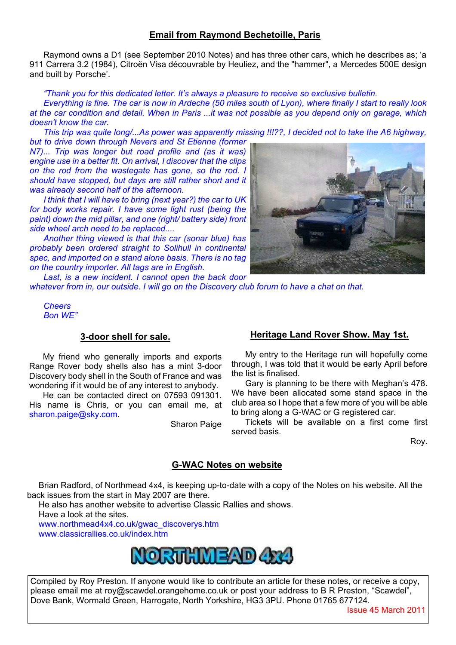# **Email from Raymond Bechetoille, Paris**

Raymond owns a D1 (see September 2010 Notes) and has three other cars, which he describes as; 'a 911 Carrera 3.2 (1984), Citroën Visa découvrable by Heuliez, and the "hammer", a Mercedes 500E design and built by Porsche'.

*"Thank you for this dedicated letter. It's always a pleasure to receive so exclusive bulletin.*

*Everything is fine. The car is now in Ardeche (50 miles south of Lyon), where finally I start to really look at the car condition and detail. When in Paris ...it was not possible as you depend only on garage, which doesn't know the car.*

*This trip was quite long/...As power was apparently missing !!!??, I decided not to take the A6 highway, but to drive down through Nevers and St Etienne (former* 

*N7)... Trip was longer but road profile and (as it was) engine use in a better fit. On arrival, I discover that the clips on the rod from the wastegate has gone, so the rod. I should have stopped, but days are still rather short and it was already second half of the afternoon.*

*I think that I will have to bring (next year?) the car to UK for body works repair. I have some light rust (being the paint) down the mid pillar, and one (right/ battery side) front side wheel arch need to be replaced....*

*Another thing viewed is that this car (sonar blue) has probably been ordered straight to Solihull in continental spec, and imported on a stand alone basis. There is no tag on the country importer. All tags are in English.*

*Last, is a new incident. I cannot open the back door whatever from in, our outside. I will go on the Discovery club forum to have a chat on that.*

*Cheers Bon WE"*

#### **3-door shell for sale.**

My friend who generally imports and exports Range Rover body shells also has a mint 3-door Discovery body shell in the South of France and was wondering if it would be of any interest to anybody.

He can be contacted direct on 07593 091301. His name is Chris, or you can email me, at sharon.paige@sky.com.

Sharon Paige

# **Heritage Land Rover Show. May 1st.**

My entry to the Heritage run will hopefully come through, I was told that it would be early April before the list is finalised.

Gary is planning to be there with Meghan's 478. We have been allocated some stand space in the club area so I hope that a few more of you will be able to bring along a G-WAC or G registered car.

Tickets will be available on a first come first served basis.

Roy.

#### **G-WAC Notes on website**

Brian Radford, of Northmead 4x4, is keeping up-to-date with a copy of the Notes on his website. All the back issues from the start in May 2007 are there.

He also has another website to advertise Classic Rallies and shows.

Have a look at the sites.

www.northmead4x4.co.uk/gwac\_discoverys.htm www.classicrallies.co.uk/index.html



Compiled by Roy Preston. If anyone would like to contribute an article for these notes, or receive a copy, please email me at roy@scawdel.orangehome.co.uk or post your address to B R Preston, "Scawdel", Dove Bank, Wormald Green, Harrogate, North Yorkshire, HG3 3PU. Phone 01765 677124.



Issue 45 March 2011